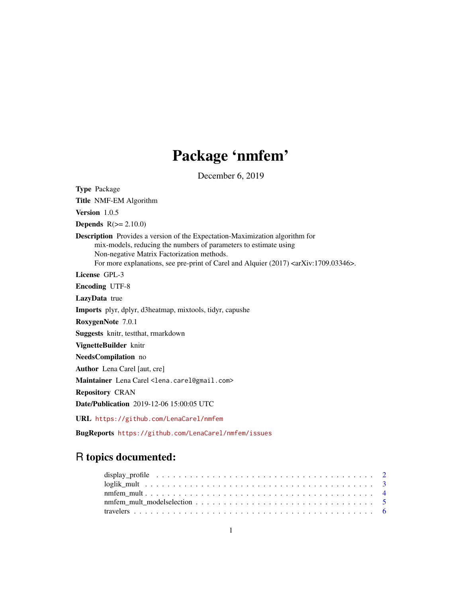## Package 'nmfem'

December 6, 2019

Type Package Title NMF-EM Algorithm Version 1.0.5 **Depends**  $R(>= 2.10.0)$ Description Provides a version of the Expectation-Maximization algorithm for mix-models, reducing the numbers of parameters to estimate using Non-negative Matrix Factorization methods. For more explanations, see pre-print of Carel and Alquier (2017) <arXiv:1709.03346>. License GPL-3 Encoding UTF-8 LazyData true Imports plyr, dplyr, d3heatmap, mixtools, tidyr, capushe RoxygenNote 7.0.1 Suggests knitr, testthat, rmarkdown VignetteBuilder knitr NeedsCompilation no Author Lena Carel [aut, cre] Maintainer Lena Carel <lena.carel@gmail.com> Repository CRAN Date/Publication 2019-12-06 15:00:05 UTC URL <https://github.com/LenaCarel/nmfem>

BugReports <https://github.com/LenaCarel/nmfem/issues>

### R topics documented: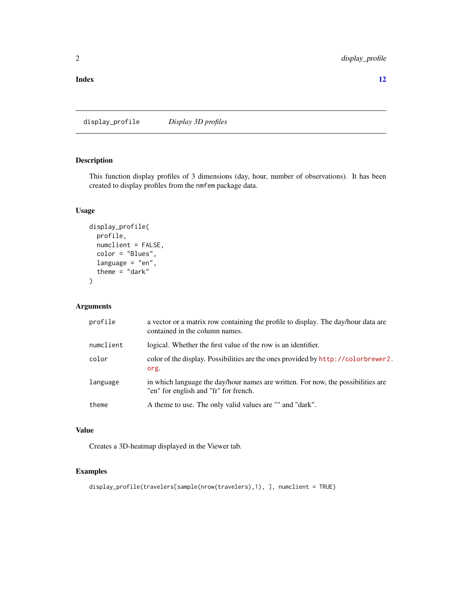<span id="page-1-0"></span>**Index** [12](#page-11-0)

display\_profile *Display 3D profiles*

#### Description

This function display profiles of 3 dimensions (day, hour, number of observations). It has been created to display profiles from the nmfem package data.

#### Usage

```
display_profile(
  profile,
  numclient = FALSE,
  color = "Blues",
  language = "en",theme = "dark"\mathcal{L}
```
#### Arguments

| profile   | a vector or a matrix row containing the profile to display. The day/hour data are<br>contained in the column names.       |
|-----------|---------------------------------------------------------------------------------------------------------------------------|
| numclient | logical. Whether the first value of the row is an identifier.                                                             |
| color     | color of the display. Possibilities are the ones provided by http://colorbrewer2.<br>org.                                 |
| language  | in which language the day/hour names are written. For now, the possibilities are<br>"en" for english and "fr" for french. |
| theme     | A theme to use. The only valid values are "" and "dark".                                                                  |

#### Value

Creates a 3D-heatmap displayed in the Viewer tab.

#### Examples

```
display_profile(travelers[sample(nrow(travelers),1), ], numclient = TRUE)
```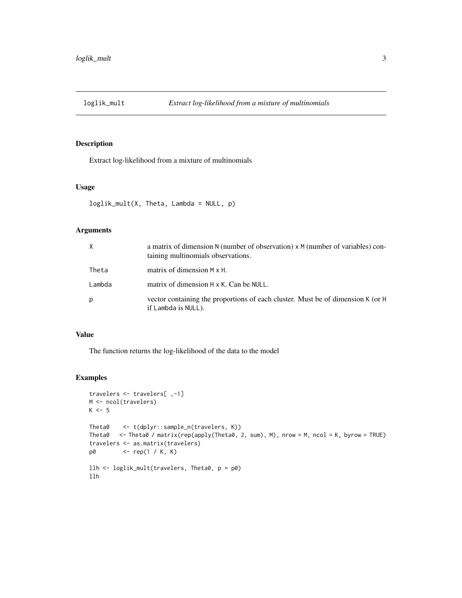<span id="page-2-0"></span>

#### Description

Extract log-likelihood from a mixture of multinomials

#### Usage

```
loglik_mult(X, Theta, Lambda = NULL, p)
```
#### Arguments

| X      | a matrix of dimension N (number of observation) x M (number of variables) con-<br>taining multinomials observations. |
|--------|----------------------------------------------------------------------------------------------------------------------|
| Theta  | matrix of dimension M x H.                                                                                           |
| Lambda | matrix of dimension H x K. Can be NULL.                                                                              |
| p      | vector containing the proportions of each cluster. Must be of dimension K (or H<br>if Lambda is NULL).               |

#### Value

The function returns the log-likelihood of the data to the model

#### Examples

```
travelers <- travelers[ ,-1]
M <- ncol(travelers)
K < -5Theta0 <- t(dplyr::sample_n(travelers, K))
Theta0 <- Theta0 / matrix(rep(apply(Theta0, 2, sum), M), nrow = M, ncol = K, byrow = TRUE)
travelers <- as.matrix(travelers)
p0 <- rep(1 / K, K)
llh <- loglik_mult(travelers, Theta0, p = p0)
llh
```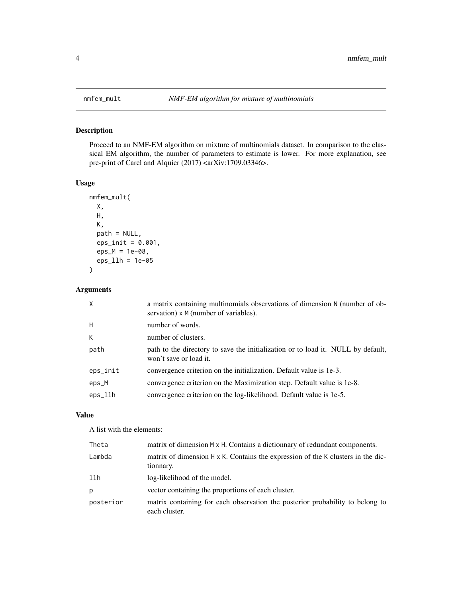<span id="page-3-0"></span>

#### Description

Proceed to an NMF-EM algorithm on mixture of multinomials dataset. In comparison to the classical EM algorithm, the number of parameters to estimate is lower. For more explanation, see pre-print of Carel and Alquier (2017) <arXiv:1709.03346>.

#### Usage

```
nmfem_mult(
 X,
 H,
 K,
 path = NULL,
 eps\_init = 0.001,eps_M = 1e-08,
  eps_llh = 1e-05
)
```
#### Arguments

| X        | a matrix containing multinomials observations of dimension N (number of ob-<br>servation) x M (number of variables). |
|----------|----------------------------------------------------------------------------------------------------------------------|
| H        | number of words.                                                                                                     |
| K        | number of clusters.                                                                                                  |
| path     | path to the directory to save the initialization or to load it. NULL by default,<br>won't save or load it.           |
| eps_init | convergence criterion on the initialization. Default value is 1e-3.                                                  |
| eps_M    | convergence criterion on the Maximization step. Default value is 1e-8.                                               |
| eps_llh  | convergence criterion on the log-likelihood. Default value is 1e-5.                                                  |

#### Value

A list with the elements:

| Theta     | matrix of dimension $M \times H$ . Contains a dictionnary of redundant components.                    |
|-----------|-------------------------------------------------------------------------------------------------------|
| Lambda    | matrix of dimension $H \times K$ . Contains the expression of the K clusters in the dic-<br>tionnary. |
| llh       | log-likelihood of the model.                                                                          |
| р         | vector containing the proportions of each cluster.                                                    |
| posterior | matrix containing for each observation the posterior probability to belong to<br>each cluster.        |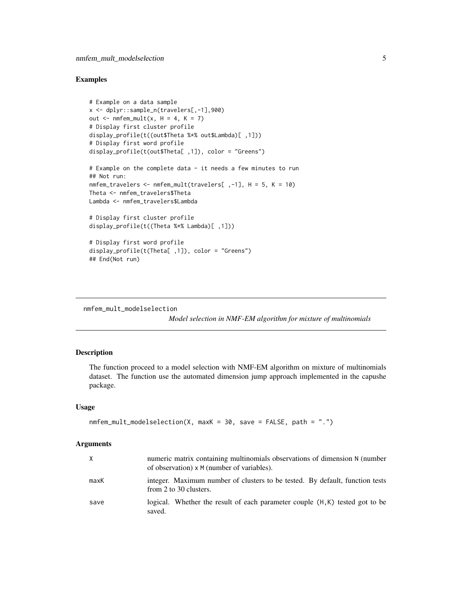#### <span id="page-4-0"></span>Examples

```
# Example on a data sample
x <- dplyr::sample_n(travelers[,-1],900)
out \leq nmfem_mult(x, H = 4, K = 7)
# Display first cluster profile
display_profile(t((out$Theta %*% out$Lambda)[ ,1]))
# Display first word profile
display_profile(t(out$Theta[ ,1]), color = "Greens")
# Example on the complete data - it needs a few minutes to run
## Not run:
nmfem_travelers <- nmfem_mult(travelers[ ,-1], H = 5, K = 10)
Theta <- nmfem_travelers$Theta
Lambda <- nmfem_travelers$Lambda
# Display first cluster profile
display_profile(t((Theta %*% Lambda)[ ,1]))
# Display first word profile
display_profile(t(Theta[ ,1]), color = "Greens")
## End(Not run)
```
nmfem\_mult\_modelselection

*Model selection in NMF-EM algorithm for mixture of multinomials*

#### Description

The function proceed to a model selection with NMF-EM algorithm on mixture of multinomials dataset. The function use the automated dimension jump approach implemented in the capushe package.

#### Usage

```
nmfem_mult_modelselection(X, maxK = 30, save = FALSE, path = ".")
```
#### Arguments

| X    | numeric matrix containing multinomials observations of dimension N (number<br>of observation) x M (number of variables). |
|------|--------------------------------------------------------------------------------------------------------------------------|
| maxK | integer. Maximum number of clusters to be tested. By default, function tests<br>from 2 to 30 clusters.                   |
| save | logical. Whether the result of each parameter couple (H,K) tested got to be<br>saved.                                    |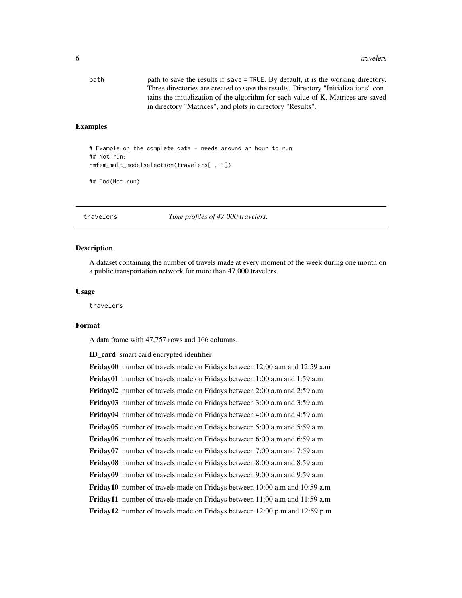<span id="page-5-0"></span>

| path | path to save the results if save = TRUE. By default, it is the working directory.   |
|------|-------------------------------------------------------------------------------------|
|      | Three directories are created to save the results. Directory "Initializations" con- |
|      | tains the initialization of the algorithm for each value of K. Matrices are saved   |
|      | in directory "Matrices", and plots in directory "Results".                          |

#### Examples

```
# Example on the complete data - needs around an hour to run
## Not run:
nmfem_mult_modelselection(travelers[ ,-1])
```
## End(Not run)

travelers *Time profiles of 47,000 travelers.*

#### Description

A dataset containing the number of travels made at every moment of the week during one month on a public transportation network for more than 47,000 travelers.

#### Usage

travelers

#### Format

A data frame with 47,757 rows and 166 columns.

ID\_card smart card encrypted identifier

Friday00 number of travels made on Fridays between 12:00 a.m and 12:59 a.m Friday01 number of travels made on Fridays between 1:00 a.m and 1:59 a.m Friday02 number of travels made on Fridays between 2:00 a.m and 2:59 a.m Friday03 number of travels made on Fridays between 3:00 a.m and 3:59 a.m Friday04 number of travels made on Fridays between 4:00 a.m and 4:59 a.m Friday05 number of travels made on Fridays between 5:00 a.m and 5:59 a.m Friday06 number of travels made on Fridays between 6:00 a.m and 6:59 a.m Friday07 number of travels made on Fridays between 7:00 a.m and 7:59 a.m Friday08 number of travels made on Fridays between 8:00 a.m and 8:59 a.m Friday09 number of travels made on Fridays between 9:00 a.m and 9:59 a.m Friday10 number of travels made on Fridays between 10:00 a.m and 10:59 a.m Friday11 number of travels made on Fridays between 11:00 a.m and 11:59 a.m Friday12 number of travels made on Fridays between 12:00 p.m and 12:59 p.m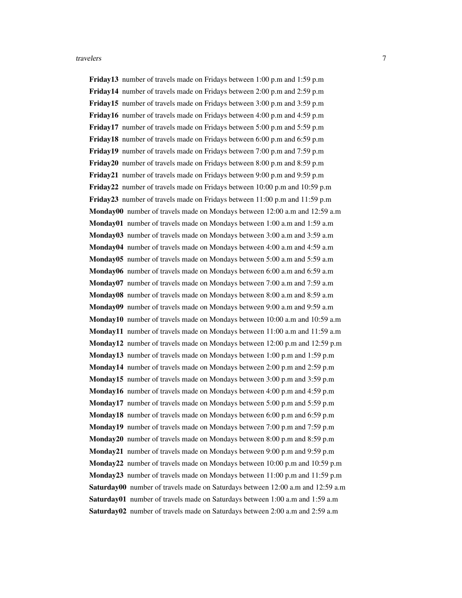Friday13 number of travels made on Fridays between 1:00 p.m and 1:59 p.m Friday14 number of travels made on Fridays between 2:00 p.m and 2:59 p.m Friday15 number of travels made on Fridays between 3:00 p.m and 3:59 p.m Friday16 number of travels made on Fridays between 4:00 p.m and 4:59 p.m Friday17 number of travels made on Fridays between 5:00 p.m and 5:59 p.m Friday18 number of travels made on Fridays between 6:00 p.m and 6:59 p.m Friday19 number of travels made on Fridays between 7:00 p.m and 7:59 p.m Friday20 number of travels made on Fridays between 8:00 p.m and 8:59 p.m Friday21 number of travels made on Fridays between 9:00 p.m and 9:59 p.m Friday22 number of travels made on Fridays between 10:00 p.m and 10:59 p.m Friday23 number of travels made on Fridays between 11:00 p.m and 11:59 p.m Monday00 number of travels made on Mondays between 12:00 a.m and 12:59 a.m Monday01 number of travels made on Mondays between 1:00 a.m and 1:59 a.m Monday03 number of travels made on Mondays between 3:00 a.m and 3:59 a.m Monday04 number of travels made on Mondays between 4:00 a.m and 4:59 a.m Monday05 number of travels made on Mondays between 5:00 a.m and 5:59 a.m Monday06 number of travels made on Mondays between 6:00 a.m and 6:59 a.m Monday07 number of travels made on Mondays between 7:00 a.m and 7:59 a.m Monday08 number of travels made on Mondays between 8:00 a.m and 8:59 a.m Monday09 number of travels made on Mondays between 9:00 a.m and 9:59 a.m Monday10 number of travels made on Mondays between 10:00 a.m and 10:59 a.m **Monday11** number of travels made on Mondays between  $11:00$  a.m and  $11:59$  a.m Monday12 number of travels made on Mondays between 12:00 p.m and 12:59 p.m Monday13 number of travels made on Mondays between 1:00 p.m and 1:59 p.m Monday14 number of travels made on Mondays between 2:00 p.m and 2:59 p.m Monday15 number of travels made on Mondays between 3:00 p.m and 3:59 p.m Monday16 number of travels made on Mondays between 4:00 p.m and 4:59 p.m Monday17 number of travels made on Mondays between 5:00 p.m and 5:59 p.m Monday18 number of travels made on Mondays between 6:00 p.m and 6:59 p.m Monday19 number of travels made on Mondays between 7:00 p.m and 7:59 p.m Monday20 number of travels made on Mondays between 8:00 p.m and 8:59 p.m Monday21 number of travels made on Mondays between 9:00 p.m and 9:59 p.m Monday22 number of travels made on Mondays between 10:00 p.m and 10:59 p.m Monday23 number of travels made on Mondays between 11:00 p.m and 11:59 p.m Saturday00 number of travels made on Saturdays between 12:00 a.m and 12:59 a.m Saturday01 number of travels made on Saturdays between 1:00 a.m and 1:59 a.m Saturday02 number of travels made on Saturdays between 2:00 a.m and 2:59 a.m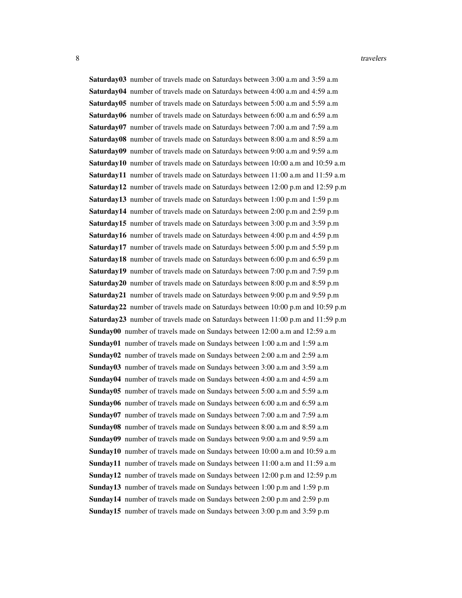8 travelers and the set of the set of the set of the set of the set of the set of the set of the set of the set of the set of the set of the set of the set of the set of the set of the set of the set of the set of the set

Saturday03 number of travels made on Saturdays between 3:00 a.m and 3:59 a.m Saturday04 number of travels made on Saturdays between 4:00 a.m and 4:59 a.m Saturday05 number of travels made on Saturdays between 5:00 a.m and 5:59 a.m Saturday06 number of travels made on Saturdays between 6:00 a.m and 6:59 a.m Saturday07 number of travels made on Saturdays between 7:00 a.m and 7:59 a.m Saturday08 number of travels made on Saturdays between 8:00 a.m and 8:59 a.m Saturday09 number of travels made on Saturdays between 9:00 a.m and 9:59 a.m Saturday10 number of travels made on Saturdays between 10:00 a.m and 10:59 a.m Saturday11 number of travels made on Saturdays between 11:00 a.m and 11:59 a.m Saturday12 number of travels made on Saturdays between 12:00 p.m and 12:59 p.m Saturday13 number of travels made on Saturdays between 1:00 p.m and 1:59 p.m Saturday14 number of travels made on Saturdays between 2:00 p.m and 2:59 p.m Saturday15 number of travels made on Saturdays between 3:00 p.m and 3:59 p.m Saturday16 number of travels made on Saturdays between 4:00 p.m and 4:59 p.m Saturday17 number of travels made on Saturdays between 5:00 p.m and 5:59 p.m Saturday18 number of travels made on Saturdays between 6:00 p.m and 6:59 p.m Saturday19 number of travels made on Saturdays between 7:00 p.m and 7:59 p.m Saturday20 number of travels made on Saturdays between 8:00 p.m and 8:59 p.m Saturday21 number of travels made on Saturdays between 9:00 p.m and 9:59 p.m Saturday22 number of travels made on Saturdays between 10:00 p.m and 10:59 p.m Saturday23 number of travels made on Saturdays between 11:00 p.m and 11:59 p.m Sunday00 number of travels made on Sundays between 12:00 a.m and 12:59 a.m Sunday01 number of travels made on Sundays between 1:00 a.m and 1:59 a.m Sunday02 number of travels made on Sundays between 2:00 a.m and 2:59 a.m Sunday03 number of travels made on Sundays between 3:00 a.m and 3:59 a.m Sunday04 number of travels made on Sundays between 4:00 a.m and 4:59 a.m Sunday05 number of travels made on Sundays between 5:00 a.m and 5:59 a.m Sunday06 number of travels made on Sundays between 6:00 a.m and 6:59 a.m Sunday07 number of travels made on Sundays between 7:00 a.m and 7:59 a.m Sunday08 number of travels made on Sundays between 8:00 a.m and 8:59 a.m Sunday09 number of travels made on Sundays between 9:00 a.m and 9:59 a.m Sunday10 number of travels made on Sundays between 10:00 a.m and 10:59 a.m Sunday11 number of travels made on Sundays between 11:00 a.m and 11:59 a.m Sunday12 number of travels made on Sundays between 12:00 p.m and 12:59 p.m Sunday13 number of travels made on Sundays between 1:00 p.m and 1:59 p.m Sunday14 number of travels made on Sundays between 2:00 p.m and 2:59 p.m Sunday15 number of travels made on Sundays between 3:00 p.m and 3:59 p.m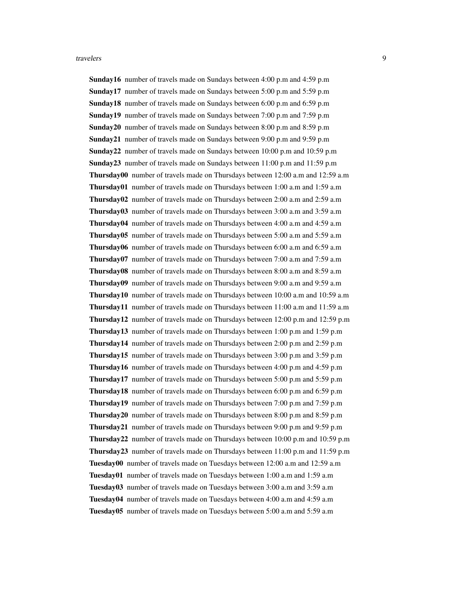Sunday16 number of travels made on Sundays between 4:00 p.m and 4:59 p.m Sunday17 number of travels made on Sundays between 5:00 p.m and 5:59 p.m Sunday18 number of travels made on Sundays between 6:00 p.m and 6:59 p.m Sunday19 number of travels made on Sundays between 7:00 p.m and 7:59 p.m Sunday20 number of travels made on Sundays between 8:00 p.m and 8:59 p.m Sunday21 number of travels made on Sundays between 9:00 p.m and 9:59 p.m Sunday22 number of travels made on Sundays between 10:00 p.m and 10:59 p.m **Sunday23** number of travels made on Sundays between  $11:00$  p.m and  $11:59$  p.m Thursday00 number of travels made on Thursdays between 12:00 a.m and 12:59 a.m Thursday01 number of travels made on Thursdays between 1:00 a.m and 1:59 a.m Thursday02 number of travels made on Thursdays between 2:00 a.m and 2:59 a.m Thursday03 number of travels made on Thursdays between 3:00 a.m and 3:59 a.m Thursday04 number of travels made on Thursdays between 4:00 a.m and 4:59 a.m Thursday05 number of travels made on Thursdays between 5:00 a.m and 5:59 a.m Thursday06 number of travels made on Thursdays between 6:00 a.m and 6:59 a.m Thursday07 number of travels made on Thursdays between 7:00 a.m and 7:59 a.m Thursday08 number of travels made on Thursdays between 8:00 a.m and 8:59 a.m Thursday09 number of travels made on Thursdays between 9:00 a.m and 9:59 a.m Thursday10 number of travels made on Thursdays between 10:00 a.m and 10:59 a.m Thursday11 number of travels made on Thursdays between 11:00 a.m and 11:59 a.m Thursday12 number of travels made on Thursdays between 12:00 p.m and 12:59 p.m Thursday13 number of travels made on Thursdays between 1:00 p.m and 1:59 p.m Thursday14 number of travels made on Thursdays between 2:00 p.m and 2:59 p.m Thursday15 number of travels made on Thursdays between 3:00 p.m and 3:59 p.m Thursday16 number of travels made on Thursdays between 4:00 p.m and 4:59 p.m Thursday17 number of travels made on Thursdays between 5:00 p.m and 5:59 p.m Thursday18 number of travels made on Thursdays between 6:00 p.m and 6:59 p.m Thursday19 number of travels made on Thursdays between 7:00 p.m and 7:59 p.m Thursday20 number of travels made on Thursdays between 8:00 p.m and 8:59 p.m Thursday21 number of travels made on Thursdays between 9:00 p.m and 9:59 p.m Thursday22 number of travels made on Thursdays between 10:00 p.m and 10:59 p.m Thursday23 number of travels made on Thursdays between 11:00 p.m and 11:59 p.m Tuesday00 number of travels made on Tuesdays between 12:00 a.m and 12:59 a.m Tuesday01 number of travels made on Tuesdays between 1:00 a.m and 1:59 a.m Tuesday03 number of travels made on Tuesdays between 3:00 a.m and 3:59 a.m Tuesday04 number of travels made on Tuesdays between 4:00 a.m and 4:59 a.m Tuesday05 number of travels made on Tuesdays between 5:00 a.m and 5:59 a.m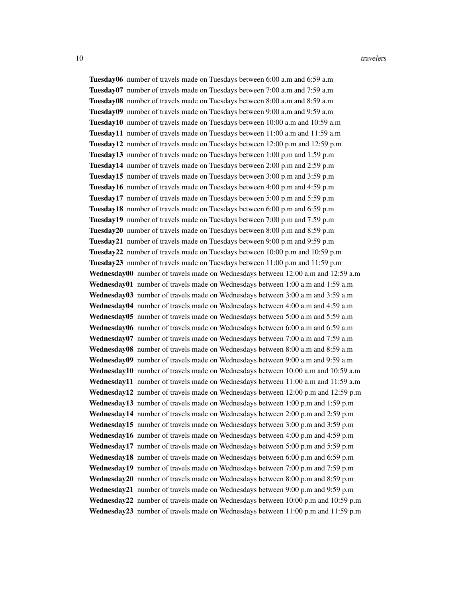Tuesday06 number of travels made on Tuesdays between 6:00 a.m and 6:59 a.m Tuesday07 number of travels made on Tuesdays between 7:00 a.m and 7:59 a.m Tuesday08 number of travels made on Tuesdays between 8:00 a.m and 8:59 a.m Tuesday09 number of travels made on Tuesdays between 9:00 a.m and 9:59 a.m Tuesday10 number of travels made on Tuesdays between 10:00 a.m and 10:59 a.m Tuesday11 number of travels made on Tuesdays between 11:00 a.m and 11:59 a.m Tuesday12 number of travels made on Tuesdays between 12:00 p.m and 12:59 p.m Tuesday13 number of travels made on Tuesdays between 1:00 p.m and 1:59 p.m Tuesday14 number of travels made on Tuesdays between 2:00 p.m and 2:59 p.m Tuesday15 number of travels made on Tuesdays between 3:00 p.m and 3:59 p.m Tuesday16 number of travels made on Tuesdays between 4:00 p.m and 4:59 p.m Tuesday17 number of travels made on Tuesdays between 5:00 p.m and 5:59 p.m Tuesday18 number of travels made on Tuesdays between 6:00 p.m and 6:59 p.m Tuesday19 number of travels made on Tuesdays between 7:00 p.m and 7:59 p.m Tuesday20 number of travels made on Tuesdays between 8:00 p.m and 8:59 p.m Tuesday21 number of travels made on Tuesdays between 9:00 p.m and 9:59 p.m Tuesday22 number of travels made on Tuesdays between 10:00 p.m and 10:59 p.m Tuesday23 number of travels made on Tuesdays between 11:00 p.m and 11:59 p.m Wednesday00 number of travels made on Wednesdays between 12:00 a.m and 12:59 a.m Wednesday01 number of travels made on Wednesdays between 1:00 a.m and 1:59 a.m Wednesday03 number of travels made on Wednesdays between 3:00 a.m and 3:59 a.m Wednesday04 number of travels made on Wednesdays between 4:00 a.m and 4:59 a.m Wednesday05 number of travels made on Wednesdays between 5:00 a.m and 5:59 a.m Wednesday06 number of travels made on Wednesdays between 6:00 a.m and 6:59 a.m Wednesday07 number of travels made on Wednesdays between 7:00 a.m and 7:59 a.m Wednesday08 number of travels made on Wednesdays between 8:00 a.m and 8:59 a.m Wednesday09 number of travels made on Wednesdays between 9:00 a.m and 9:59 a.m Wednesday10 number of travels made on Wednesdays between 10:00 a.m and 10:59 a.m Wednesday11 number of travels made on Wednesdays between 11:00 a.m and 11:59 a.m Wednesday12 number of travels made on Wednesdays between 12:00 p.m and 12:59 p.m Wednesday13 number of travels made on Wednesdays between 1:00 p.m and 1:59 p.m Wednesday14 number of travels made on Wednesdays between 2:00 p.m and 2:59 p.m Wednesday15 number of travels made on Wednesdays between 3:00 p.m and 3:59 p.m Wednesday16 number of travels made on Wednesdays between 4:00 p.m and 4:59 p.m Wednesday17 number of travels made on Wednesdays between 5:00 p.m and 5:59 p.m Wednesday18 number of travels made on Wednesdays between 6:00 p.m and 6:59 p.m Wednesday19 number of travels made on Wednesdays between 7:00 p.m and 7:59 p.m Wednesday20 number of travels made on Wednesdays between 8:00 p.m and 8:59 p.m Wednesday21 number of travels made on Wednesdays between 9:00 p.m and 9:59 p.m Wednesday22 number of travels made on Wednesdays between 10:00 p.m and 10:59 p.m Wednesday23 number of travels made on Wednesdays between 11:00 p.m and 11:59 p.m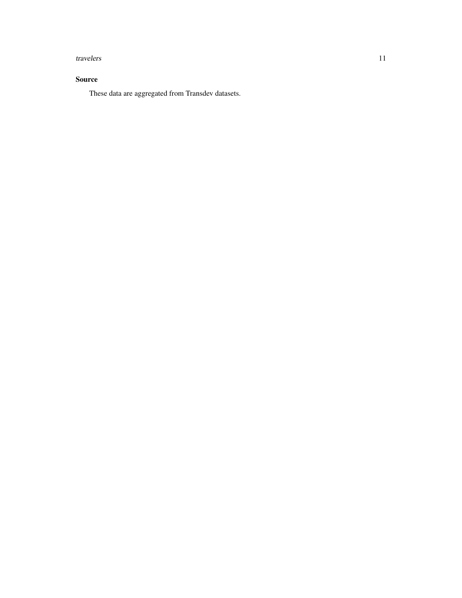#### travelers and the state of the state of the state of the state of the state of the state of the state of the state of the state of the state of the state of the state of the state of the state of the state of the state of

#### Source

These data are aggregated from Transdev datasets.